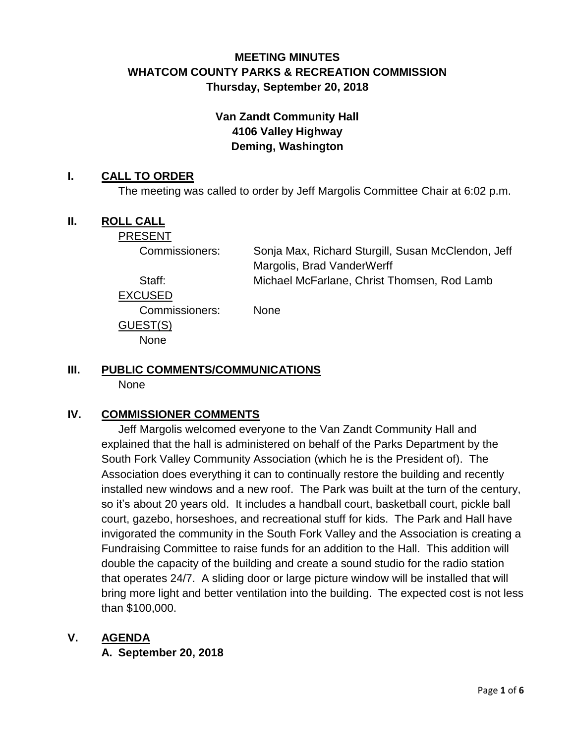# **MEETING MINUTES WHATCOM COUNTY PARKS & RECREATION COMMISSION Thursday, September 20, 2018**

# **Van Zandt Community Hall 4106 Valley Highway Deming, Washington**

## **I. CALL TO ORDER**

The meeting was called to order by Jeff Margolis Committee Chair at 6:02 p.m.

## **II. ROLL CALL**

PRESENT

Commissioners: Sonja Max, Richard Sturgill, Susan McClendon, Jeff Margolis, Brad VanderWerff Staff: Michael McFarlane, Christ Thomsen, Rod Lamb

EXCUSED

Commissioners: None

# GUEST(S)

**None** 

# **III. PUBLIC COMMENTS/COMMUNICATIONS**

None

## **IV. COMMISSIONER COMMENTS**

Jeff Margolis welcomed everyone to the Van Zandt Community Hall and explained that the hall is administered on behalf of the Parks Department by the South Fork Valley Community Association (which he is the President of). The Association does everything it can to continually restore the building and recently installed new windows and a new roof. The Park was built at the turn of the century, so it's about 20 years old. It includes a handball court, basketball court, pickle ball court, gazebo, horseshoes, and recreational stuff for kids. The Park and Hall have invigorated the community in the South Fork Valley and the Association is creating a Fundraising Committee to raise funds for an addition to the Hall. This addition will double the capacity of the building and create a sound studio for the radio station that operates 24/7. A sliding door or large picture window will be installed that will bring more light and better ventilation into the building. The expected cost is not less than \$100,000.

## **V. AGENDA**

**A. September 20, 2018**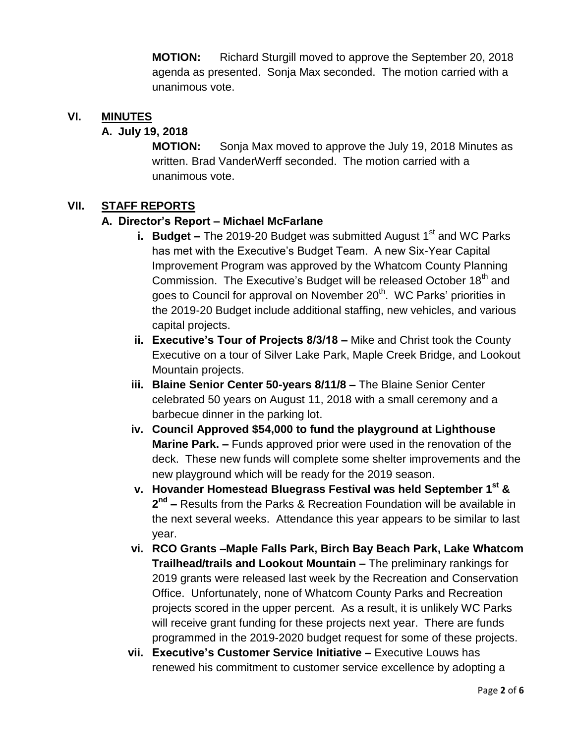**MOTION:** Richard Sturgill moved to approve the September 20, 2018 agenda as presented. Sonja Max seconded. The motion carried with a unanimous vote.

#### **VI. MINUTES**

#### **A. July 19, 2018**

**MOTION:** Sonja Max moved to approve the July 19, 2018 Minutes as written. Brad VanderWerff seconded. The motion carried with a unanimous vote.

#### **VII. STAFF REPORTS**

#### **A. Director's Report – Michael McFarlane**

- **i. Budget –** The 2019-20 Budget was submitted August 1<sup>st</sup> and WC Parks has met with the Executive's Budget Team. A new Six-Year Capital Improvement Program was approved by the Whatcom County Planning Commission. The Executive's Budget will be released October 18<sup>th</sup> and goes to Council for approval on November 20<sup>th</sup>. WC Parks' priorities in the 2019-20 Budget include additional staffing, new vehicles, and various capital projects.
- **ii. Executive's Tour of Projects 8/3/18 –** Mike and Christ took the County Executive on a tour of Silver Lake Park, Maple Creek Bridge, and Lookout Mountain projects.
- **iii. Blaine Senior Center 50-years 8/11/8 –** The Blaine Senior Center celebrated 50 years on August 11, 2018 with a small ceremony and a barbecue dinner in the parking lot.
- **iv. Council Approved \$54,000 to fund the playground at Lighthouse Marine Park. –** Funds approved prior were used in the renovation of the deck. These new funds will complete some shelter improvements and the new playground which will be ready for the 2019 season.
- **v. Hovander Homestead Bluegrass Festival was held September 1st &**  2<sup>nd</sup> – Results from the Parks & Recreation Foundation will be available in the next several weeks. Attendance this year appears to be similar to last year.
- **vi. RCO Grants –Maple Falls Park, Birch Bay Beach Park, Lake Whatcom Trailhead/trails and Lookout Mountain –** The preliminary rankings for 2019 grants were released last week by the Recreation and Conservation Office. Unfortunately, none of Whatcom County Parks and Recreation projects scored in the upper percent. As a result, it is unlikely WC Parks will receive grant funding for these projects next year. There are funds programmed in the 2019-2020 budget request for some of these projects.
- **vii. Executive's Customer Service Initiative –** Executive Louws has renewed his commitment to customer service excellence by adopting a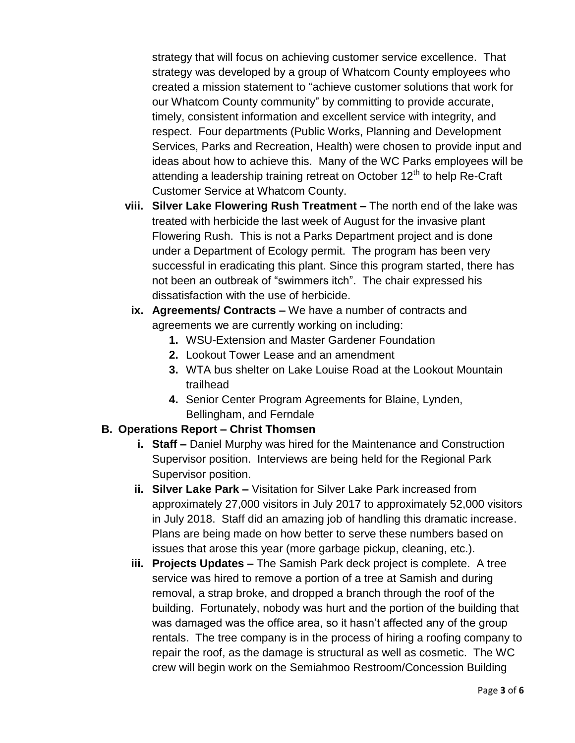strategy that will focus on achieving customer service excellence. That strategy was developed by a group of Whatcom County employees who created a mission statement to "achieve customer solutions that work for our Whatcom County community" by committing to provide accurate, timely, consistent information and excellent service with integrity, and respect. Four departments (Public Works, Planning and Development Services, Parks and Recreation, Health) were chosen to provide input and ideas about how to achieve this. Many of the WC Parks employees will be attending a leadership training retreat on October  $12<sup>th</sup>$  to help Re-Craft Customer Service at Whatcom County.

- **viii. Silver Lake Flowering Rush Treatment –** The north end of the lake was treated with herbicide the last week of August for the invasive plant Flowering Rush. This is not a Parks Department project and is done under a Department of Ecology permit. The program has been very successful in eradicating this plant. Since this program started, there has not been an outbreak of "swimmers itch". The chair expressed his dissatisfaction with the use of herbicide.
	- **ix. Agreements/ Contracts –** We have a number of contracts and agreements we are currently working on including:
		- **1.** WSU-Extension and Master Gardener Foundation
		- **2.** Lookout Tower Lease and an amendment
		- **3.** WTA bus shelter on Lake Louise Road at the Lookout Mountain trailhead
		- **4.** Senior Center Program Agreements for Blaine, Lynden, Bellingham, and Ferndale

# **B. Operations Report – Christ Thomsen**

- **i. Staff –** Daniel Murphy was hired for the Maintenance and Construction Supervisor position. Interviews are being held for the Regional Park Supervisor position.
- **ii. Silver Lake Park –** Visitation for Silver Lake Park increased from approximately 27,000 visitors in July 2017 to approximately 52,000 visitors in July 2018. Staff did an amazing job of handling this dramatic increase. Plans are being made on how better to serve these numbers based on issues that arose this year (more garbage pickup, cleaning, etc.).
- **iii. Projects Updates –** The Samish Park deck project is complete. A tree service was hired to remove a portion of a tree at Samish and during removal, a strap broke, and dropped a branch through the roof of the building. Fortunately, nobody was hurt and the portion of the building that was damaged was the office area, so it hasn't affected any of the group rentals. The tree company is in the process of hiring a roofing company to repair the roof, as the damage is structural as well as cosmetic. The WC crew will begin work on the Semiahmoo Restroom/Concession Building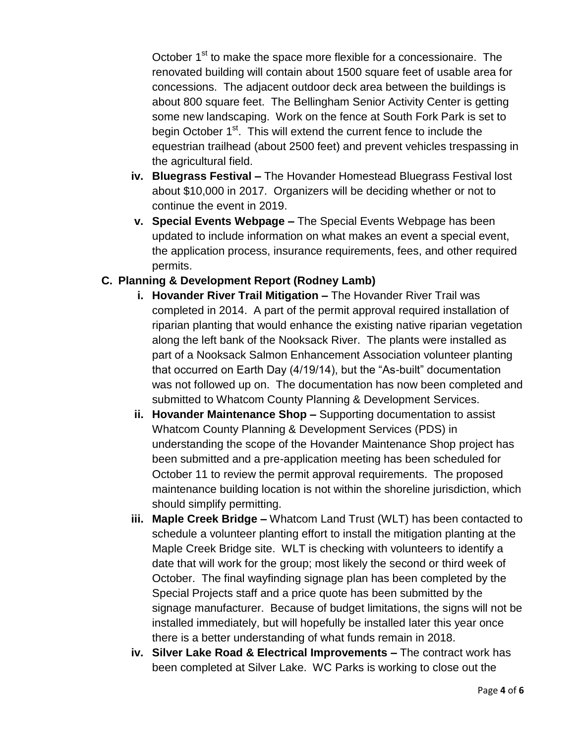October 1<sup>st</sup> to make the space more flexible for a concessionaire. The renovated building will contain about 1500 square feet of usable area for concessions. The adjacent outdoor deck area between the buildings is about 800 square feet. The Bellingham Senior Activity Center is getting some new landscaping. Work on the fence at South Fork Park is set to begin October  $1<sup>st</sup>$ . This will extend the current fence to include the equestrian trailhead (about 2500 feet) and prevent vehicles trespassing in the agricultural field.

- **iv. Bluegrass Festival –** The Hovander Homestead Bluegrass Festival lost about \$10,000 in 2017. Organizers will be deciding whether or not to continue the event in 2019.
- **v. Special Events Webpage –** The Special Events Webpage has been updated to include information on what makes an event a special event, the application process, insurance requirements, fees, and other required permits.

## **C. Planning & Development Report (Rodney Lamb)**

- **i. Hovander River Trail Mitigation –** The Hovander River Trail was completed in 2014. A part of the permit approval required installation of riparian planting that would enhance the existing native riparian vegetation along the left bank of the Nooksack River. The plants were installed as part of a Nooksack Salmon Enhancement Association volunteer planting that occurred on Earth Day (4/19/14), but the "As-built" documentation was not followed up on. The documentation has now been completed and submitted to Whatcom County Planning & Development Services.
- **ii. Hovander Maintenance Shop –** Supporting documentation to assist Whatcom County Planning & Development Services (PDS) in understanding the scope of the Hovander Maintenance Shop project has been submitted and a pre-application meeting has been scheduled for October 11 to review the permit approval requirements. The proposed maintenance building location is not within the shoreline jurisdiction, which should simplify permitting.
- **iii. Maple Creek Bridge –** Whatcom Land Trust (WLT) has been contacted to schedule a volunteer planting effort to install the mitigation planting at the Maple Creek Bridge site. WLT is checking with volunteers to identify a date that will work for the group; most likely the second or third week of October. The final wayfinding signage plan has been completed by the Special Projects staff and a price quote has been submitted by the signage manufacturer. Because of budget limitations, the signs will not be installed immediately, but will hopefully be installed later this year once there is a better understanding of what funds remain in 2018.
- **iv. Silver Lake Road & Electrical Improvements –** The contract work has been completed at Silver Lake. WC Parks is working to close out the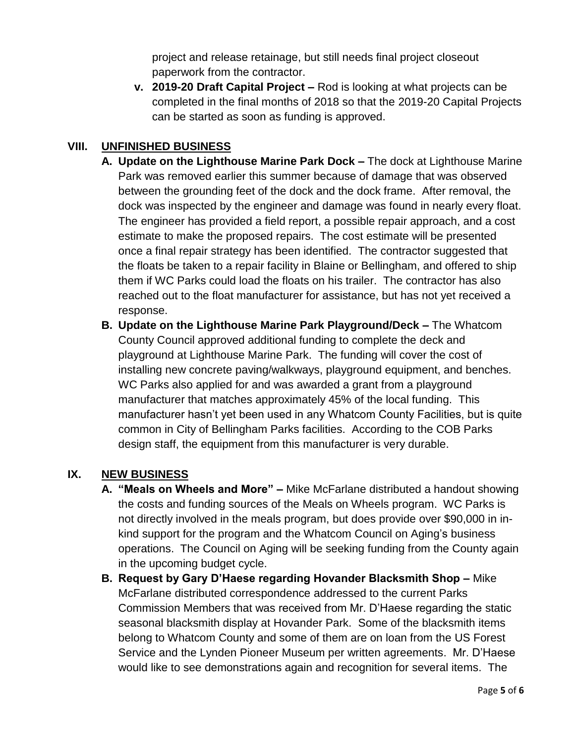project and release retainage, but still needs final project closeout paperwork from the contractor.

**v. 2019-20 Draft Capital Project –** Rod is looking at what projects can be completed in the final months of 2018 so that the 2019-20 Capital Projects can be started as soon as funding is approved.

## **VIII. UNFINISHED BUSINESS**

- **A. Update on the Lighthouse Marine Park Dock –** The dock at Lighthouse Marine Park was removed earlier this summer because of damage that was observed between the grounding feet of the dock and the dock frame. After removal, the dock was inspected by the engineer and damage was found in nearly every float. The engineer has provided a field report, a possible repair approach, and a cost estimate to make the proposed repairs. The cost estimate will be presented once a final repair strategy has been identified. The contractor suggested that the floats be taken to a repair facility in Blaine or Bellingham, and offered to ship them if WC Parks could load the floats on his trailer. The contractor has also reached out to the float manufacturer for assistance, but has not yet received a response.
- **B. Update on the Lighthouse Marine Park Playground/Deck –** The Whatcom County Council approved additional funding to complete the deck and playground at Lighthouse Marine Park. The funding will cover the cost of installing new concrete paving/walkways, playground equipment, and benches. WC Parks also applied for and was awarded a grant from a playground manufacturer that matches approximately 45% of the local funding. This manufacturer hasn't yet been used in any Whatcom County Facilities, but is quite common in City of Bellingham Parks facilities. According to the COB Parks design staff, the equipment from this manufacturer is very durable.

## **IX. NEW BUSINESS**

- **A. "Meals on Wheels and More" –** Mike McFarlane distributed a handout showing the costs and funding sources of the Meals on Wheels program. WC Parks is not directly involved in the meals program, but does provide over \$90,000 in inkind support for the program and the Whatcom Council on Aging's business operations. The Council on Aging will be seeking funding from the County again in the upcoming budget cycle.
- **B. Request by Gary D'Haese regarding Hovander Blacksmith Shop –** Mike McFarlane distributed correspondence addressed to the current Parks Commission Members that was received from Mr. D'Haese regarding the static seasonal blacksmith display at Hovander Park. Some of the blacksmith items belong to Whatcom County and some of them are on loan from the US Forest Service and the Lynden Pioneer Museum per written agreements. Mr. D'Haese would like to see demonstrations again and recognition for several items. The